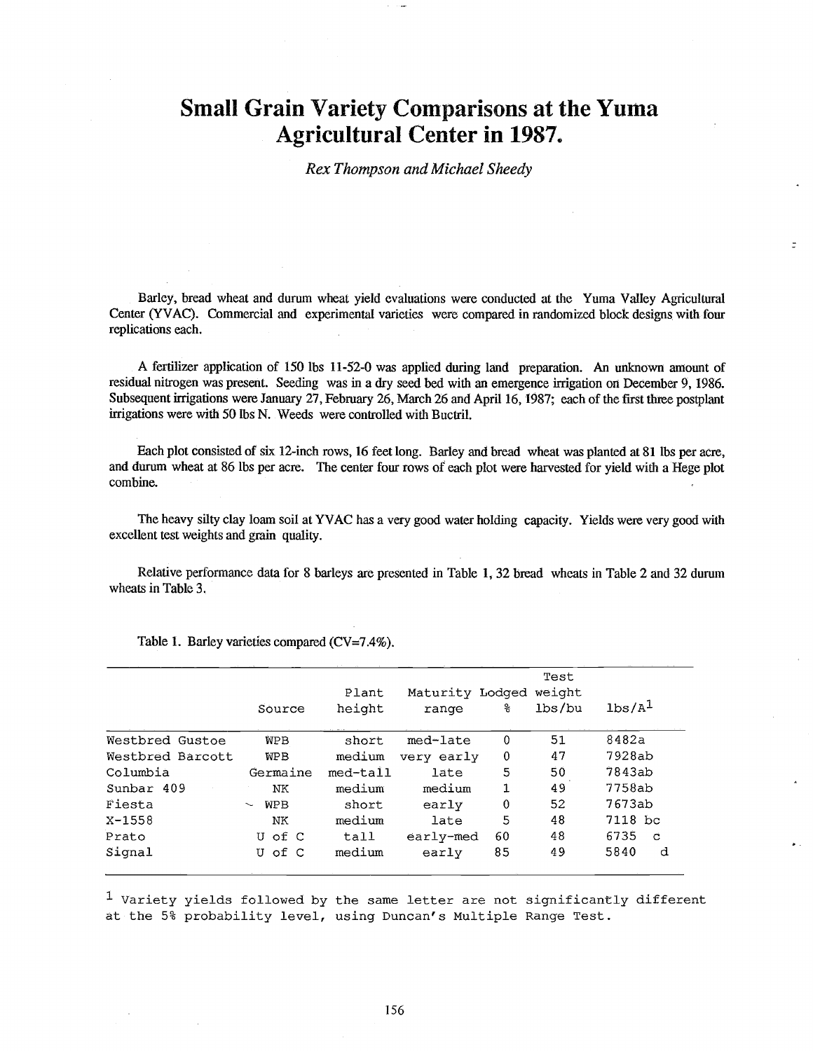## Small Grain Variety Comparisons at the Yuma Agricultural Center in 1987.

Rex Thompson and Michael Sheedy

Barley, bread wheat and durum wheat yield evaluations were conducted at the Yuma Valley Agricultural Center (YVAC). Commercial and experimental varieties were compared in randomized block designs with four replications each.

A fertilizer application of 150 lbs 11-52-0 was applied during land preparation. An unknown amount of residual nitrogen was present. Seeding was in a dry seed bed with an emergence irrigation on December 9, 1986. Subsequent irrigations were January 27, February 26, March 26 and April 16, 1987; each of the first three postplant irrigations were with 50 lbs N. Weeds were controlled with Buctril.

Each plot consisted of six 12 -inch rows, 16 feet long. Barley and bread wheat was planted at 81 lbs per acre, and durum wheat at 86 lbs per acre. The center four rows of each plot were harvested for yield with a Hege plot combine.

The heavy silty clay loam soil at YVAC has a very good water holding capacity. Yields were very good with excellent test weights and grain quality.

Relative performance data for 8 barleys are presented in Table 1, 32 bread wheats in Table 2 and 32 durum wheats in Table 3.

|                  |                      | Plant    | Maturity Lodged |             | Test<br>weight |                      |
|------------------|----------------------|----------|-----------------|-------------|----------------|----------------------|
|                  | Source               | height   | range           | နွ          | lbs/bu         | 1 <sup>1</sup>       |
| Westbred Gustoe  | <b>WPB</b>           | short    | med-late        | $\mathbf 0$ | 51             | 8482a                |
| Westbred Barcott | <b>WPB</b>           | medium   | very early      | $\bf{0}$    | 47             | 7928ab               |
| Columbia         | Germaine             | med-tall | late            | 5           | 50             | 7843ab               |
| Sunbar 409       | NΚ                   | medium   | medium          | 1           | 49             | 7758ab               |
| Fiesta           | <b>WPB</b><br>$\sim$ | short    | early           | 0           | 52             | 7673ab               |
| $X - 1558$       | NK.                  | medium   | late            | 5           | 48             | 7118 bc              |
| Prato            | U of C               | tall     | early-med       | 60          | 48             | 6735<br>$\mathbf{C}$ |
| Signal           | U of C               | medium   | early           | 85          | 49             | 5840<br>d            |

Table 1. Barley varieties compared  $(CV=7.4\%)$ .

 $1$  Variety yields followed by the same letter are not significantly different at the 5% probability level, using Duncan's Multiple Range Test.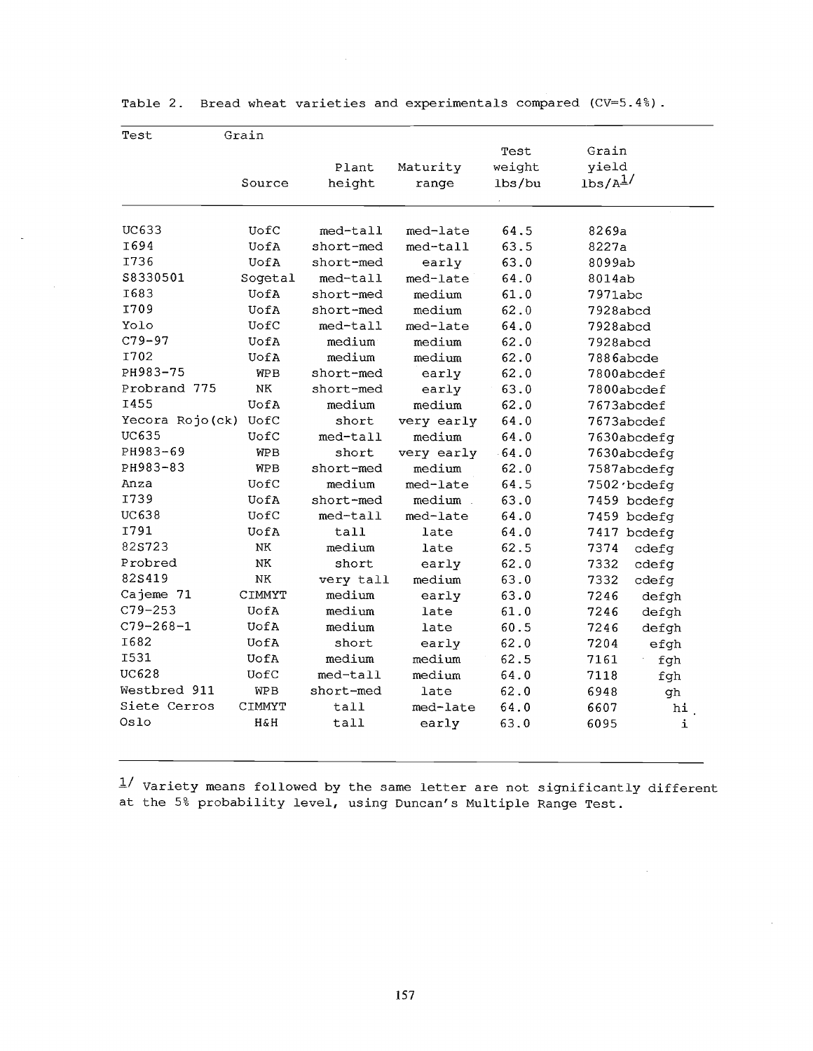| Test            | Grain      |           |            |         |                      |  |  |
|-----------------|------------|-----------|------------|---------|----------------------|--|--|
|                 |            |           |            | Test    | Grain                |  |  |
|                 |            | Plant     | Maturity   | weight  | yield                |  |  |
|                 | Source     | height    | range      | lbs/bu  | 1 <sub>bs/A</sub> 1/ |  |  |
| UC633           | UofC       | med-tall  | med-late   | 64.5    | 8269a                |  |  |
| I694            | UofA       | short-med | med-tall   | 63.5    | 8227a                |  |  |
| I736            | UofA       | short-med | early      | 63.0    | 8099ab               |  |  |
| \$8330501       | Sogetal    | med-tall  | med-late   | 64.0    | 8014ab               |  |  |
| I683            | UofA       | short-med | medium     | 61.0    | 7971abc              |  |  |
| I709            | UofA       | short-med | medium     | 62.0    | 7928abcd             |  |  |
| Yolo            | UofC       | med-tall  | med-late   | 64.0    | 7928abcd             |  |  |
| $C79 - 97$      | UofA       | medium    | medium     | 62.0    | 7928abcd             |  |  |
| I702            | UofA       | medium    | medium     | 62.0    | 7886abcde            |  |  |
| PH983-75        | <b>WPB</b> | short-med | early      | 62.0    | 7800abcdef           |  |  |
| Probrand 775    | NΚ         | short-med | early      | 63.0    | 7800abcdef           |  |  |
| I455            | UofA       | medium    | medium     | 62.0    | 7673abcdef           |  |  |
| Yecora Rojo(ck) | UofC       | short     | very early | 64.0    | 7673abcdef           |  |  |
| UC635           | UofC       | med-tall  | medium     | 64.0    | 7630abcdefg          |  |  |
| PH983-69        | <b>WPB</b> | short     | very early | $-64.0$ | 7630abcdefg          |  |  |
| PH983-83        | <b>WPB</b> | short-med | medium     | 62.0    | 7587abcdefg          |  |  |
| Anza            | UofC       | medium    | med-late   | 64.5    | 7502 bcdefg          |  |  |
| I739            | UofA       | short-med | medium     | 63.0    | 7459 bcdefg          |  |  |
| UC638           | UofC       | med-tall  | med-late   | 64.0    | 7459 bcdefg          |  |  |
| I791            | UofA       | tall      | late       | 64.0    | 7417 bcdefg          |  |  |
| 82S723          | NK         | medium    | late       | 62.5    | 7374<br>cdefg        |  |  |
| Probred         | ΝK         | short     | early      | 62.0    | 7332<br>cdefg        |  |  |
| 82S419          | ΝK         | very tall | medium     | 63.0    | 7332<br>cdefg        |  |  |
| Cajeme 71       | CIMMYT     | medium    | early      | 63.0    | 7246<br>defgh        |  |  |
| $C79 - 253$     | UofA       | medium    | late       | 61.0    | 7246<br>defgh        |  |  |
| $C79 - 268 - 1$ | UofA       | medium    | late       | 60.5    | 7246<br>defgh        |  |  |
| I682            | UofA       | short     | early      | 62.0    | 7204<br>efgh         |  |  |
| <b>I531</b>     | UofA       | medium    | medium     | 62.5    | 7161<br>fgh          |  |  |
| <b>UC628</b>    | UofC       | med-tall  | medium     | 64.0    | 7118<br>fgh          |  |  |
| Westbred 911    | WPB        | short-med | late       | 62.0    | 6948<br>gh           |  |  |
| Siete Cerros    | CIMMYT     | tall      | med-late   | 64.0    | 6607<br>hi           |  |  |
| Oslo            | H&H        | tall      | early      | 63.0    | 6095<br>i            |  |  |

Table 2. Bread wheat varieties and experimentals compared (CV= $5.4\%$ ).

 $1^{\prime}$  Variety means followed by the same letter are not significantly different at the 5% probability level, using Duncan's Multiple Range Test.